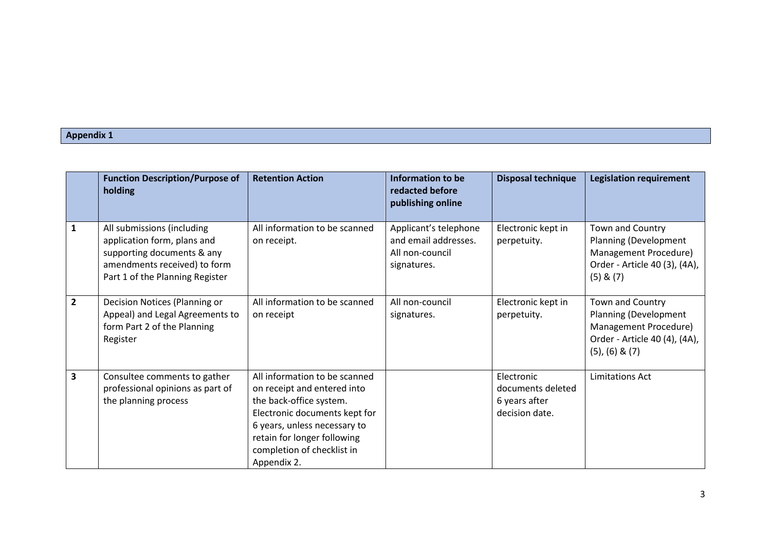## **Appendix 1**

|                | <b>Function Description/Purpose of</b><br>holding                                                                                                          | <b>Retention Action</b>                                                                                                                                                                                                              | Information to be<br>redacted before<br>publishing online                       | <b>Disposal technique</b>                                          | <b>Legislation requirement</b>                                                                                               |
|----------------|------------------------------------------------------------------------------------------------------------------------------------------------------------|--------------------------------------------------------------------------------------------------------------------------------------------------------------------------------------------------------------------------------------|---------------------------------------------------------------------------------|--------------------------------------------------------------------|------------------------------------------------------------------------------------------------------------------------------|
| 1              | All submissions (including<br>application form, plans and<br>supporting documents & any<br>amendments received) to form<br>Part 1 of the Planning Register | All information to be scanned<br>on receipt.                                                                                                                                                                                         | Applicant's telephone<br>and email addresses.<br>All non-council<br>signatures. | Electronic kept in<br>perpetuity.                                  | Town and Country<br>Planning (Development<br>Management Procedure)<br>Order - Article 40 (3), (4A),<br>$(5)$ & $(7)$         |
| $\overline{2}$ | Decision Notices (Planning or<br>Appeal) and Legal Agreements to<br>form Part 2 of the Planning<br>Register                                                | All information to be scanned<br>on receipt                                                                                                                                                                                          | All non-council<br>signatures.                                                  | Electronic kept in<br>perpetuity.                                  | Town and Country<br>Planning (Development<br>Management Procedure)<br>Order - Article 40 (4), (4A),<br>$(5)$ , $(6)$ & $(7)$ |
| 3              | Consultee comments to gather<br>professional opinions as part of<br>the planning process                                                                   | All information to be scanned<br>on receipt and entered into<br>the back-office system.<br>Electronic documents kept for<br>6 years, unless necessary to<br>retain for longer following<br>completion of checklist in<br>Appendix 2. |                                                                                 | Electronic<br>documents deleted<br>6 years after<br>decision date. | <b>Limitations Act</b>                                                                                                       |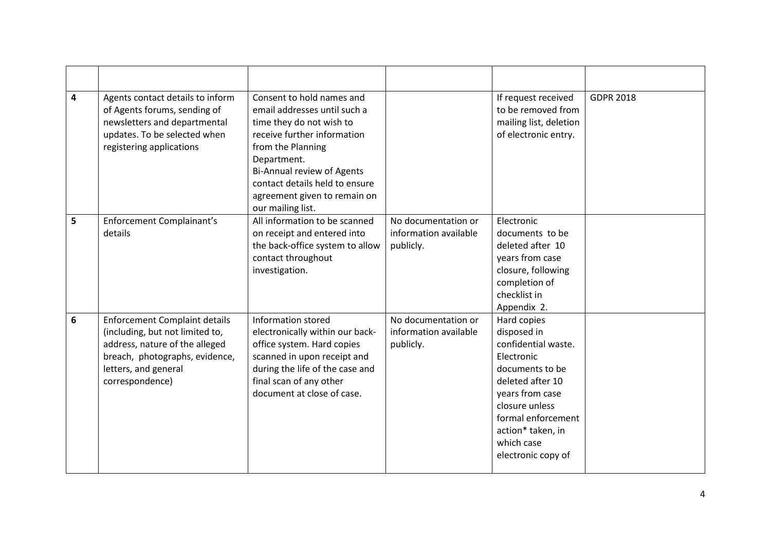| 4              | Agents contact details to inform<br>of Agents forums, sending of<br>newsletters and departmental<br>updates. To be selected when<br>registering applications                           | Consent to hold names and<br>email addresses until such a<br>time they do not wish to<br>receive further information<br>from the Planning<br>Department.<br>Bi-Annual review of Agents<br>contact details held to ensure<br>agreement given to remain on<br>our mailing list. |                                                           | If request received<br>to be removed from<br>mailing list, deletion<br>of electronic entry.                                                                                                                                | <b>GDPR 2018</b> |
|----------------|----------------------------------------------------------------------------------------------------------------------------------------------------------------------------------------|-------------------------------------------------------------------------------------------------------------------------------------------------------------------------------------------------------------------------------------------------------------------------------|-----------------------------------------------------------|----------------------------------------------------------------------------------------------------------------------------------------------------------------------------------------------------------------------------|------------------|
| 5              | <b>Enforcement Complainant's</b><br>details                                                                                                                                            | All information to be scanned<br>on receipt and entered into<br>the back-office system to allow<br>contact throughout<br>investigation.                                                                                                                                       | No documentation or<br>information available<br>publicly. | Electronic<br>documents to be<br>deleted after 10<br>years from case<br>closure, following<br>completion of<br>checklist in<br>Appendix 2.                                                                                 |                  |
| $6\phantom{1}$ | <b>Enforcement Complaint details</b><br>(including, but not limited to,<br>address, nature of the alleged<br>breach, photographs, evidence,<br>letters, and general<br>correspondence) | Information stored<br>electronically within our back-<br>office system. Hard copies<br>scanned in upon receipt and<br>during the life of the case and<br>final scan of any other<br>document at close of case.                                                                | No documentation or<br>information available<br>publicly. | Hard copies<br>disposed in<br>confidential waste.<br>Electronic<br>documents to be<br>deleted after 10<br>years from case<br>closure unless<br>formal enforcement<br>action* taken, in<br>which case<br>electronic copy of |                  |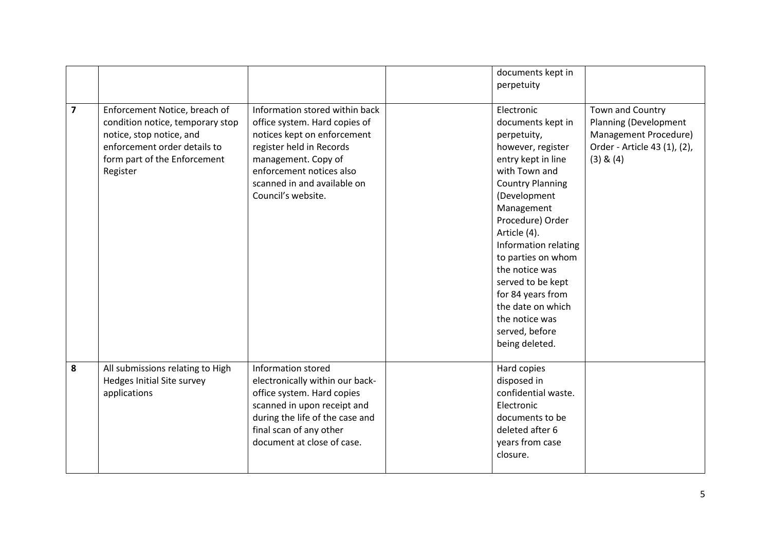|                         |                                                                                                                                                                           |                                                                                                                                                                                                                                    | documents kept in<br>perpetuity                                                                                                                                                                                                                                                                                                                                                              |                                                                                                                     |
|-------------------------|---------------------------------------------------------------------------------------------------------------------------------------------------------------------------|------------------------------------------------------------------------------------------------------------------------------------------------------------------------------------------------------------------------------------|----------------------------------------------------------------------------------------------------------------------------------------------------------------------------------------------------------------------------------------------------------------------------------------------------------------------------------------------------------------------------------------------|---------------------------------------------------------------------------------------------------------------------|
| $\overline{\mathbf{z}}$ | Enforcement Notice, breach of<br>condition notice, temporary stop<br>notice, stop notice, and<br>enforcement order details to<br>form part of the Enforcement<br>Register | Information stored within back<br>office system. Hard copies of<br>notices kept on enforcement<br>register held in Records<br>management. Copy of<br>enforcement notices also<br>scanned in and available on<br>Council's website. | Electronic<br>documents kept in<br>perpetuity,<br>however, register<br>entry kept in line<br>with Town and<br><b>Country Planning</b><br>(Development<br>Management<br>Procedure) Order<br>Article (4).<br>Information relating<br>to parties on whom<br>the notice was<br>served to be kept<br>for 84 years from<br>the date on which<br>the notice was<br>served, before<br>being deleted. | Town and Country<br>Planning (Development<br>Management Procedure)<br>Order - Article 43 (1), (2),<br>$(3)$ & $(4)$ |
| 8                       | All submissions relating to High<br>Hedges Initial Site survey<br>applications                                                                                            | Information stored<br>electronically within our back-<br>office system. Hard copies<br>scanned in upon receipt and<br>during the life of the case and<br>final scan of any other<br>document at close of case.                     | Hard copies<br>disposed in<br>confidential waste.<br>Electronic<br>documents to be<br>deleted after 6<br>years from case<br>closure.                                                                                                                                                                                                                                                         |                                                                                                                     |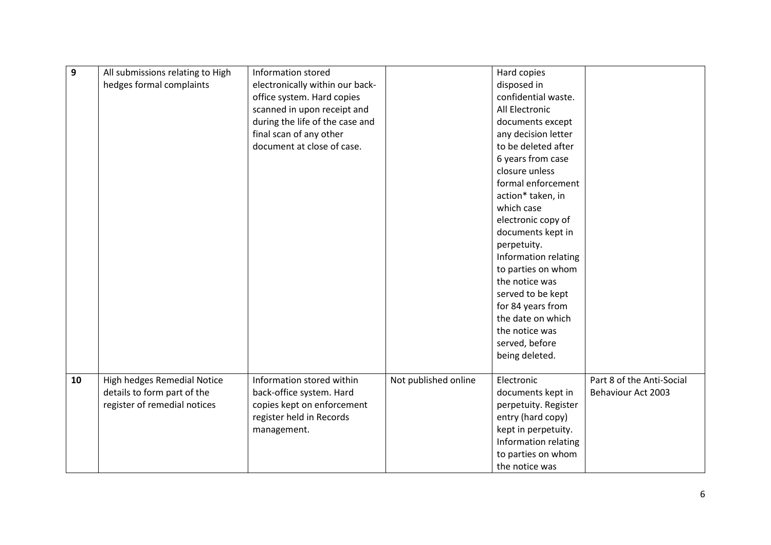| 9  | All submissions relating to High | Information stored              |                      | Hard copies          |                           |
|----|----------------------------------|---------------------------------|----------------------|----------------------|---------------------------|
|    | hedges formal complaints         | electronically within our back- |                      | disposed in          |                           |
|    |                                  | office system. Hard copies      |                      | confidential waste.  |                           |
|    |                                  | scanned in upon receipt and     |                      | All Electronic       |                           |
|    |                                  | during the life of the case and |                      | documents except     |                           |
|    |                                  | final scan of any other         |                      | any decision letter  |                           |
|    |                                  | document at close of case.      |                      | to be deleted after  |                           |
|    |                                  |                                 |                      | 6 years from case    |                           |
|    |                                  |                                 |                      | closure unless       |                           |
|    |                                  |                                 |                      | formal enforcement   |                           |
|    |                                  |                                 |                      | action* taken, in    |                           |
|    |                                  |                                 |                      | which case           |                           |
|    |                                  |                                 |                      | electronic copy of   |                           |
|    |                                  |                                 |                      | documents kept in    |                           |
|    |                                  |                                 |                      | perpetuity.          |                           |
|    |                                  |                                 |                      | Information relating |                           |
|    |                                  |                                 |                      | to parties on whom   |                           |
|    |                                  |                                 |                      | the notice was       |                           |
|    |                                  |                                 |                      | served to be kept    |                           |
|    |                                  |                                 |                      | for 84 years from    |                           |
|    |                                  |                                 |                      | the date on which    |                           |
|    |                                  |                                 |                      | the notice was       |                           |
|    |                                  |                                 |                      | served, before       |                           |
|    |                                  |                                 |                      | being deleted.       |                           |
|    |                                  |                                 |                      |                      |                           |
| 10 | High hedges Remedial Notice      | Information stored within       | Not published online | Electronic           | Part 8 of the Anti-Social |
|    | details to form part of the      | back-office system. Hard        |                      | documents kept in    | <b>Behaviour Act 2003</b> |
|    | register of remedial notices     | copies kept on enforcement      |                      | perpetuity. Register |                           |
|    |                                  | register held in Records        |                      | entry (hard copy)    |                           |
|    |                                  | management.                     |                      | kept in perpetuity.  |                           |
|    |                                  |                                 |                      | Information relating |                           |
|    |                                  |                                 |                      | to parties on whom   |                           |
|    |                                  |                                 |                      | the notice was       |                           |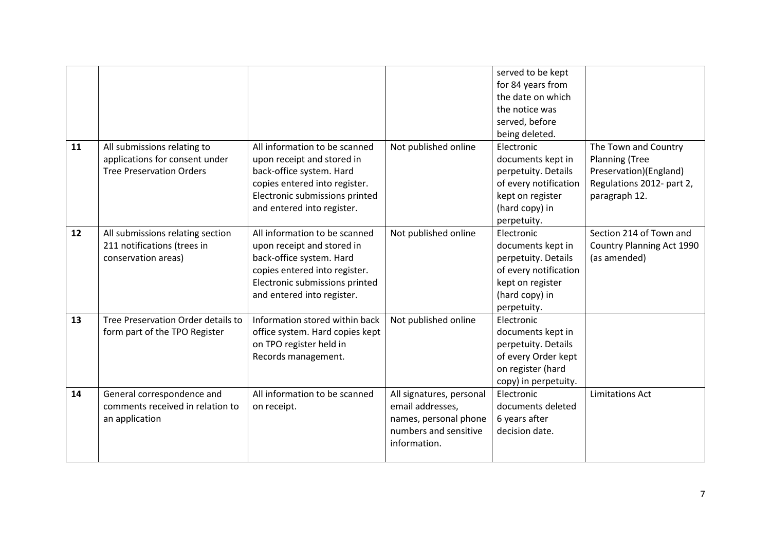|    |                                    |                                 |                          | served to be kept     |                           |
|----|------------------------------------|---------------------------------|--------------------------|-----------------------|---------------------------|
|    |                                    |                                 |                          | for 84 years from     |                           |
|    |                                    |                                 |                          | the date on which     |                           |
|    |                                    |                                 |                          | the notice was        |                           |
|    |                                    |                                 |                          | served, before        |                           |
|    |                                    |                                 |                          | being deleted.        |                           |
| 11 | All submissions relating to        | All information to be scanned   | Not published online     | Electronic            | The Town and Country      |
|    | applications for consent under     | upon receipt and stored in      |                          | documents kept in     | Planning (Tree            |
|    | <b>Tree Preservation Orders</b>    | back-office system. Hard        |                          | perpetuity. Details   | Preservation)(England)    |
|    |                                    | copies entered into register.   |                          | of every notification | Regulations 2012- part 2, |
|    |                                    | Electronic submissions printed  |                          | kept on register      | paragraph 12.             |
|    |                                    | and entered into register.      |                          | (hard copy) in        |                           |
|    |                                    |                                 |                          | perpetuity.           |                           |
| 12 | All submissions relating section   | All information to be scanned   | Not published online     | Electronic            | Section 214 of Town and   |
|    | 211 notifications (trees in        | upon receipt and stored in      |                          | documents kept in     | Country Planning Act 1990 |
|    | conservation areas)                | back-office system. Hard        |                          | perpetuity. Details   | (as amended)              |
|    |                                    | copies entered into register.   |                          | of every notification |                           |
|    |                                    | Electronic submissions printed  |                          | kept on register      |                           |
|    |                                    | and entered into register.      |                          | (hard copy) in        |                           |
|    |                                    |                                 |                          | perpetuity.           |                           |
| 13 | Tree Preservation Order details to | Information stored within back  | Not published online     | Electronic            |                           |
|    | form part of the TPO Register      | office system. Hard copies kept |                          | documents kept in     |                           |
|    |                                    | on TPO register held in         |                          | perpetuity. Details   |                           |
|    |                                    | Records management.             |                          | of every Order kept   |                           |
|    |                                    |                                 |                          | on register (hard     |                           |
|    |                                    |                                 |                          | copy) in perpetuity.  |                           |
| 14 | General correspondence and         | All information to be scanned   | All signatures, personal | Electronic            | <b>Limitations Act</b>    |
|    | comments received in relation to   | on receipt.                     | email addresses,         | documents deleted     |                           |
|    | an application                     |                                 | names, personal phone    | 6 years after         |                           |
|    |                                    |                                 | numbers and sensitive    | decision date.        |                           |
|    |                                    |                                 | information.             |                       |                           |
|    |                                    |                                 |                          |                       |                           |